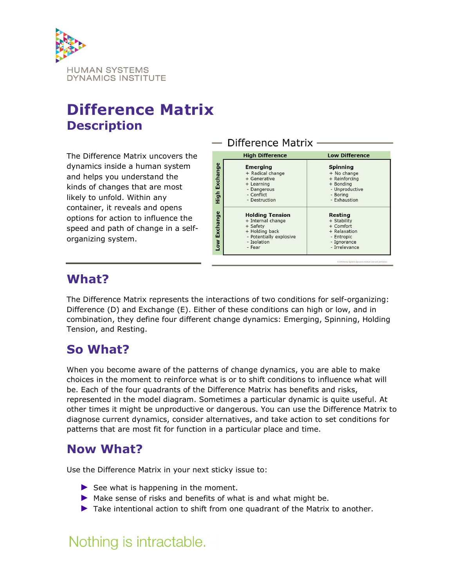

# Difference Matrix Description

The Difference Matrix uncovers the dynamics inside a human system and helps you understand the kinds of changes that are most likely to unfold. Within any container, it reveals and opens options for action to influence the speed and path of change in a selforganizing system.



## What?

The Difference Matrix represents the interactions of two conditions for self-organizing: Difference (D) and Exchange (E). Either of these conditions can high or low, and in combination, they define four different change dynamics: Emerging, Spinning, Holding Tension, and Resting.

## So What?

When you become aware of the patterns of change dynamics, you are able to make choices in the moment to reinforce what is or to shift conditions to influence what will be. Each of the four quadrants of the Difference Matrix has benefits and risks, represented in the model diagram. Sometimes a particular dynamic is quite useful. At other times it might be unproductive or dangerous. You can use the Difference Matrix to diagnose current dynamics, consider alternatives, and take action to set conditions for patterns that are most fit for function in a particular place and time.

### Now What?

Use the Difference Matrix in your next sticky issue to:

- ► See what is happening in the moment.
- ▶ Make sense of risks and benefits of what is and what might be.
- ► Take intentional action to shift from one quadrant of the Matrix to another.

# Nothing is intractable.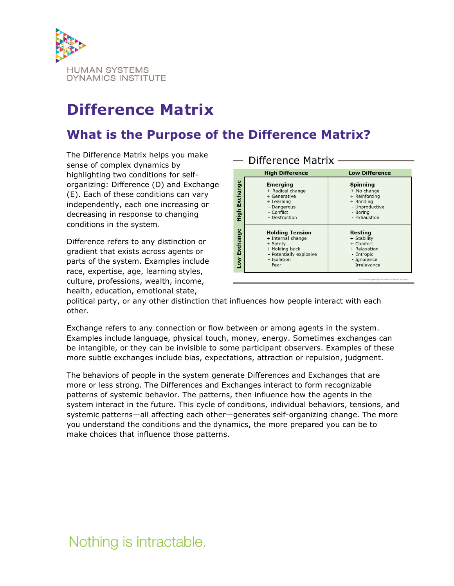

# Difference Matrix

## What is the Purpose of the Difference Matrix?

The Difference Matrix helps you make sense of complex dynamics by highlighting two conditions for selforganizing: Difference (D) and Exchange (E). Each of these conditions can vary independently, each one increasing or decreasing in response to changing conditions in the system.

Difference refers to any distinction or gradient that exists across agents or parts of the system. Examples include race, expertise, age, learning styles, culture, professions, wealth, income, health, education, emotional state,

#### Difference Matrix -**High Difference Low Difference** Exchange **Emerging Spinning** + Radical change  $+$  No change + Generative + Reinforcing + Learning + Bonding - Unproductive - Dangerous High - Boring<br>- Exhaustion - Conflict - Destruction Exchange **Holding Tension Resting** + Internal change + Stability + Safety + Comfort + Holding back + Relaxation - Potentially explosive Entropic Low - Isolation Ignorance - Fear - Irrelevance C 2016 Human Syste

political party, or any other distinction that influences how people interact with each other.

Exchange refers to any connection or flow between or among agents in the system. Examples include language, physical touch, money, energy. Sometimes exchanges can be intangible, or they can be invisible to some participant observers. Examples of these more subtle exchanges include bias, expectations, attraction or repulsion, judgment.

The behaviors of people in the system generate Differences and Exchanges that are more or less strong. The Differences and Exchanges interact to form recognizable patterns of systemic behavior. The patterns, then influence how the agents in the system interact in the future. This cycle of conditions, individual behaviors, tensions, and systemic patterns—all affecting each other—generates self-organizing change. The more you understand the conditions and the dynamics, the more prepared you can be to make choices that influence those patterns.

# Nothing is intractable.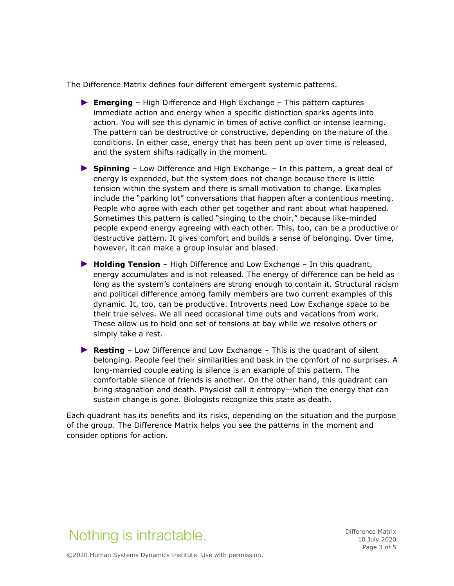The Difference Matrix defines four different emergent systemic patterns.

- ► Emerging High Difference and High Exchange This pattern captures immediate action and energy when a specific distinction sparks agents into action. You will see this dynamic in times of active conflict or intense learning. The pattern can be destructive or constructive, depending on the nature of the conditions. In either case, energy that has been pent up over time is released, and the system shifts radically in the moment.
- ► Spinning Low Difference and High Exchange In this pattern, a great deal of energy is expended, but the system does not change because there is little tension within the system and there is small motivation to change. Examples include the "parking lot" conversations that happen after a contentious meeting. People who agree with each other get together and rant about what happened. Sometimes this pattern is called "singing to the choir," because like-minded people expend energy agreeing with each other. This, too, can be a productive or destructive pattern. It gives comfort and builds a sense of belonging. Over time, however, it can make a group insular and biased.
- ▶ Holding Tension High Difference and Low Exchange In this quadrant, energy accumulates and is not released. The energy of difference can be held as long as the system's containers are strong enough to contain it. Structural racism and political difference among family members are two current examples of this dynamic. It, too, can be productive. Introverts need Low Exchange space to be their true selves. We all need occasional time outs and vacations from work. These allow us to hold one set of tensions at bay while we resolve others or simply take a rest.
- ► Resting Low Difference and Low Exchange This is the quadrant of silent belonging. People feel their similarities and bask in the comfort of no surprises. A long-married couple eating is silence is an example of this pattern. The comfortable silence of friends is another. On the other hand, this quadrant can bring stagnation and death. Physicist call it entropy—when the energy that can sustain change is gone. Biologists recognize this state as death.

Each quadrant has its benefits and its risks, depending on the situation and the purpose of the group. The Difference Matrix helps you see the patterns in the moment and consider options for action.

# Nothing is intractable.

Difference Matrix 10 July 2020 Page 3 of 5

©2020.Human Systems Dynamics Institute. Use with permission.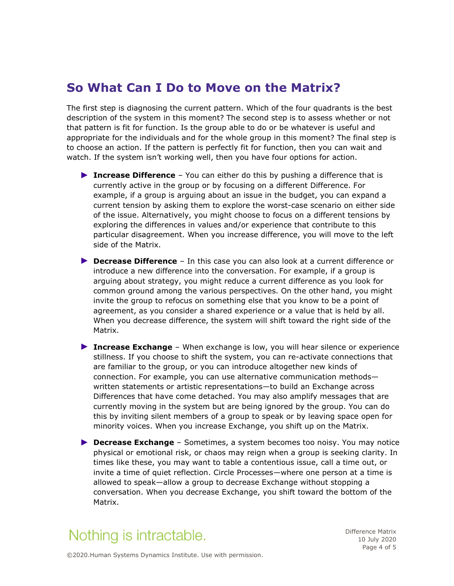### So What Can I Do to Move on the Matrix?

The first step is diagnosing the current pattern. Which of the four quadrants is the best description of the system in this moment? The second step is to assess whether or not that pattern is fit for function. Is the group able to do or be whatever is useful and appropriate for the individuals and for the whole group in this moment? The final step is to choose an action. If the pattern is perfectly fit for function, then you can wait and watch. If the system isn't working well, then you have four options for action.

- ▶ Increase Difference  $-$  You can either do this by pushing a difference that is currently active in the group or by focusing on a different Difference. For example, if a group is arguing about an issue in the budget, you can expand a current tension by asking them to explore the worst-case scenario on either side of the issue. Alternatively, you might choose to focus on a different tensions by exploring the differences in values and/or experience that contribute to this particular disagreement. When you increase difference, you will move to the left side of the Matrix.
- ▶ Decrease Difference In this case you can also look at a current difference or introduce a new difference into the conversation. For example, if a group is arguing about strategy, you might reduce a current difference as you look for common ground among the various perspectives. On the other hand, you might invite the group to refocus on something else that you know to be a point of agreement, as you consider a shared experience or a value that is held by all. When you decrease difference, the system will shift toward the right side of the Matrix.
- ► Increase Exchange When exchange is low, you will hear silence or experience stillness. If you choose to shift the system, you can re-activate connections that are familiar to the group, or you can introduce altogether new kinds of connection. For example, you can use alternative communication methods written statements or artistic representations—to build an Exchange across Differences that have come detached. You may also amplify messages that are currently moving in the system but are being ignored by the group. You can do this by inviting silent members of a group to speak or by leaving space open for minority voices. When you increase Exchange, you shift up on the Matrix.
- ▶ Decrease Exchange Sometimes, a system becomes too noisy. You may notice physical or emotional risk, or chaos may reign when a group is seeking clarity. In times like these, you may want to table a contentious issue, call a time out, or invite a time of quiet reflection. Circle Processes—where one person at a time is allowed to speak—allow a group to decrease Exchange without stopping a conversation. When you decrease Exchange, you shift toward the bottom of the Matrix.

# Nothing is intractable.

Difference Matrix 10 July 2020 Page 4 of 5